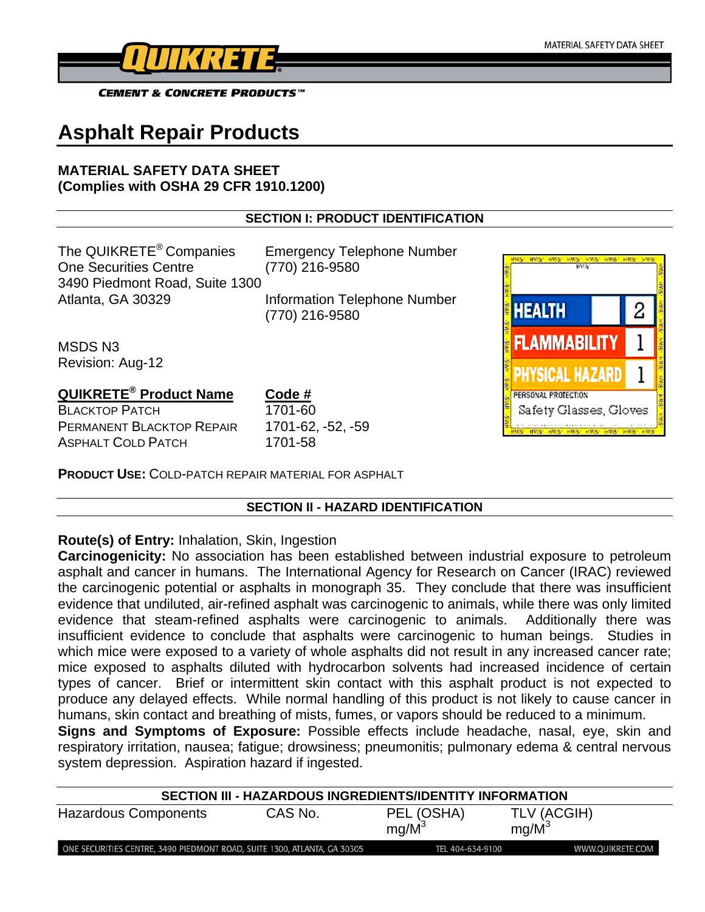

**CEMENT & CONCRETE PRODUCTS™** 

# **Asphalt Repair Products**

## **MATERIAL SAFETY DATA SHEET (Complies with OSHA 29 CFR 1910.1200)**

## **SECTION I: PRODUCT IDENTIFICATION**

The QUIKRETE® Companies Emergency Telephone Number One Securities Centre (770) 216-9580 3490 Piedmont Road, Suite 1300 Atlanta, GA 30329 Information Telephone Number

(770) 216-9580

MSDS N3 Revision: Aug-12

## **QUIKRETE® Product Name Code #**

BLACKTOP PATCH 1701-60 PERMANENT BLACKTOP REPAIR 1701-62, -52, -59 ASPHALT COLD PATCH 1701-58

**PRODUCT USE:** COLD-PATCH REPAIR MATERIAL FOR ASPHALT

## **SECTION II - HAZARD IDENTIFICATION**

## **Route(s) of Entry:** Inhalation, Skin, Ingestion

**Carcinogenicity:** No association has been established between industrial exposure to petroleum asphalt and cancer in humans. The International Agency for Research on Cancer (IRAC) reviewed the carcinogenic potential or asphalts in monograph 35. They conclude that there was insufficient evidence that undiluted, air-refined asphalt was carcinogenic to animals, while there was only limited evidence that steam-refined asphalts were carcinogenic to animals. Additionally there was insufficient evidence to conclude that asphalts were carcinogenic to human beings. Studies in which mice were exposed to a variety of whole asphalts did not result in any increased cancer rate; mice exposed to asphalts diluted with hydrocarbon solvents had increased incidence of certain types of cancer. Brief or intermittent skin contact with this asphalt product is not expected to produce any delayed effects. While normal handling of this product is not likely to cause cancer in humans, skin contact and breathing of mists, fumes, or vapors should be reduced to a minimum.

**Signs and Symptoms of Exposure:** Possible effects include headache, nasal, eye, skin and respiratory irritation, nausea; fatigue; drowsiness; pneumonitis; pulmonary edema & central nervous system depression. Aspiration hazard if ingested.

| SECTION III - HAZARDOUS INGREDIENTS/IDENTITY INFORMATION                 |         |                        |                         |  |  |
|--------------------------------------------------------------------------|---------|------------------------|-------------------------|--|--|
| <b>Hazardous Components</b>                                              | CAS No. | PEL (OSHA)<br>$mq/M^3$ | TLV (ACGIH)<br>$mq/M^3$ |  |  |
| ONE SECURITIES CENTRE, 3490 PIEDMONT ROAD, SUITE 1300, ATLANTA, GA 30305 |         | TEL 404-634-9100       | WWW.QUIKRETE.COM        |  |  |

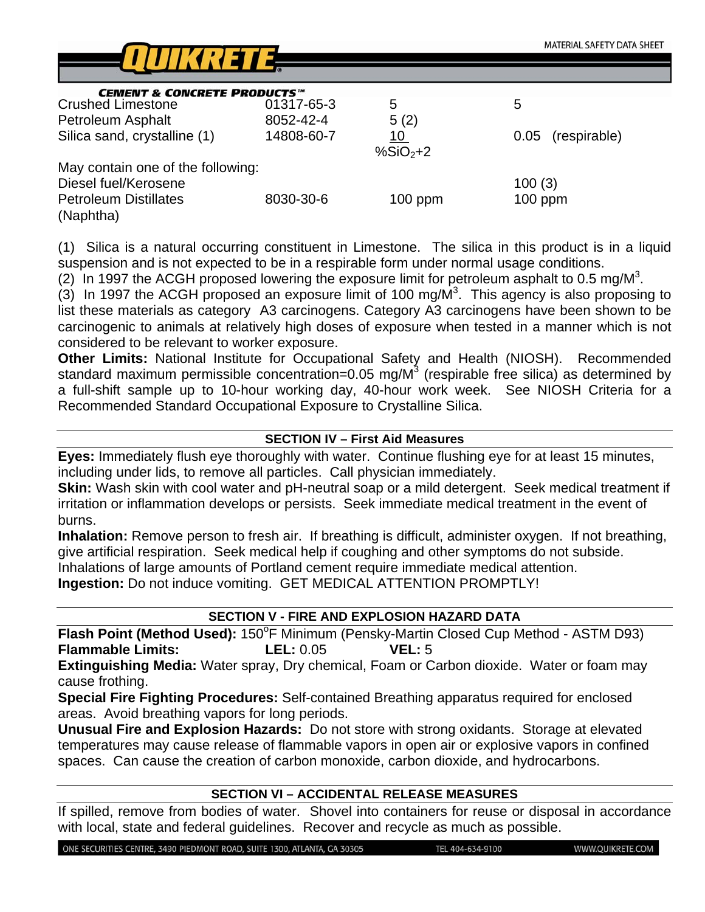

| <b>CEMENT &amp; CONCRETE PRODUCTS</b> <sup>TM</sup> |            |           |                      |
|-----------------------------------------------------|------------|-----------|----------------------|
| <b>Crushed Limestone</b>                            | 01317-65-3 | 5         | 5                    |
| Petroleum Asphalt                                   | 8052-42-4  | 5(2)      |                      |
| Silica sand, crystalline (1)                        | 14808-60-7 | <u>10</u> | (respirable)<br>0.05 |
|                                                     |            | $%SiO2+2$ |                      |
| May contain one of the following:                   |            |           |                      |
| Diesel fuel/Kerosene                                |            |           | 100(3)               |
| <b>Petroleum Distillates</b>                        | 8030-30-6  | $100$ ppm | $100$ ppm            |
| (Naphtha)                                           |            |           |                      |

(1) Silica is a natural occurring constituent in Limestone. The silica in this product is in a liquid suspension and is not expected to be in a respirable form under normal usage conditions.

(2) In 1997 the ACGH proposed lowering the exposure limit for petroleum asphalt to 0.5 mg/M<sup>3</sup>.

 $(3)$  In 1997 the ACGH proposed an exposure limit of 100 mg/M<sup>3</sup>. This agency is also proposing to list these materials as category A3 carcinogens. Category A3 carcinogens have been shown to be carcinogenic to animals at relatively high doses of exposure when tested in a manner which is not considered to be relevant to worker exposure.

**Other Limits:** National Institute for Occupational Safety and Health (NIOSH). Recommended standard maximum permissible concentration=0.05 mg/M<sup>3</sup> (respirable free silica) as determined by a full-shift sample up to 10-hour working day, 40-hour work week. See NIOSH Criteria for a Recommended Standard Occupational Exposure to Crystalline Silica.

## **SECTION IV – First Aid Measures**

**Eyes:** Immediately flush eye thoroughly with water. Continue flushing eye for at least 15 minutes, including under lids, to remove all particles. Call physician immediately.

**Skin:** Wash skin with cool water and pH-neutral soap or a mild detergent. Seek medical treatment if irritation or inflammation develops or persists. Seek immediate medical treatment in the event of burns.

**Inhalation:** Remove person to fresh air. If breathing is difficult, administer oxygen. If not breathing, give artificial respiration. Seek medical help if coughing and other symptoms do not subside. Inhalations of large amounts of Portland cement require immediate medical attention.

**Ingestion:** Do not induce vomiting. GET MEDICAL ATTENTION PROMPTLY!

## **SECTION V - FIRE AND EXPLOSION HAZARD DATA**

Flash Point (Method Used): 150°F Minimum (Pensky-Martin Closed Cup Method - ASTM D93) **Flammable Limits: LEL:** 0.05 **VEL:** 5

**Extinguishing Media:** Water spray, Dry chemical, Foam or Carbon dioxide. Water or foam may cause frothing.

**Special Fire Fighting Procedures:** Self-contained Breathing apparatus required for enclosed areas. Avoid breathing vapors for long periods.

**Unusual Fire and Explosion Hazards:** Do not store with strong oxidants. Storage at elevated temperatures may cause release of flammable vapors in open air or explosive vapors in confined spaces. Can cause the creation of carbon monoxide, carbon dioxide, and hydrocarbons.

## **SECTION VI – ACCIDENTAL RELEASE MEASURES**

If spilled, remove from bodies of water. Shovel into containers for reuse or disposal in accordance with local, state and federal guidelines. Recover and recycle as much as possible.

ONE SECURITIES CENTRE, 3490 PIEDMONT ROAD, SUITE 1300, ATLANTA, GA 30305

TEL 404-634-9100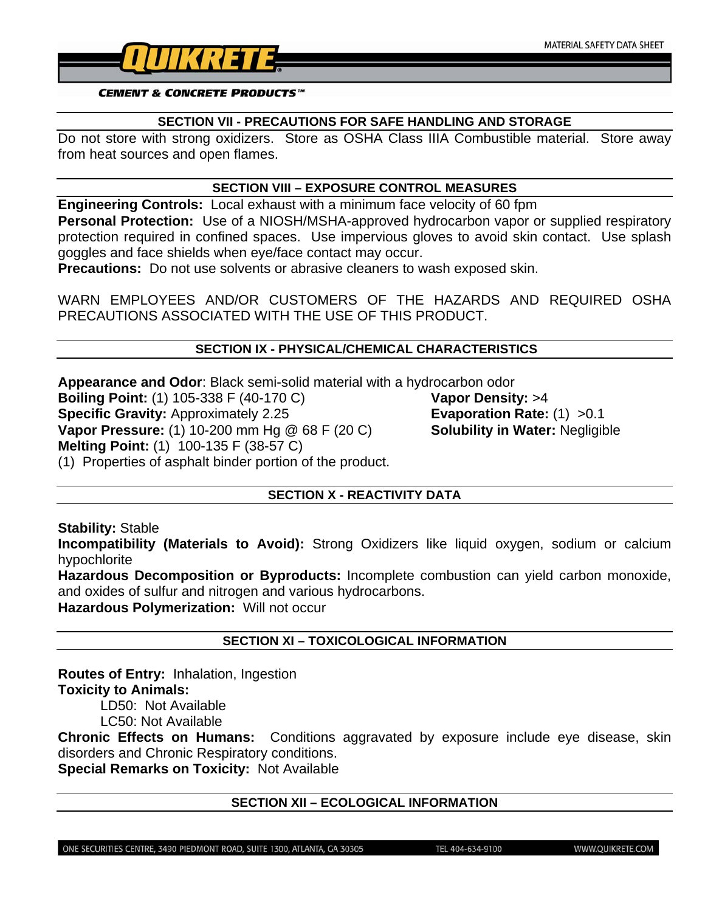

#### **CEMENT & CONCRETE PRODUCTS™**

#### **SECTION VII - PRECAUTIONS FOR SAFE HANDLING AND STORAGE**

Do not store with strong oxidizers. Store as OSHA Class IIIA Combustible material. Store away from heat sources and open flames.

#### **SECTION VIII – EXPOSURE CONTROL MEASURES**

**Engineering Controls:** Local exhaust with a minimum face velocity of 60 fpm **Personal Protection:** Use of a NIOSH/MSHA-approved hydrocarbon vapor or supplied respiratory protection required in confined spaces. Use impervious gloves to avoid skin contact. Use splash goggles and face shields when eye/face contact may occur.

**Precautions:** Do not use solvents or abrasive cleaners to wash exposed skin.

WARN EMPLOYEES AND/OR CUSTOMERS OF THE HAZARDS AND REQUIRED OSHA PRECAUTIONS ASSOCIATED WITH THE USE OF THIS PRODUCT.

#### **SECTION IX - PHYSICAL/CHEMICAL CHARACTERISTICS**

**Appearance and Odor**: Black semi-solid material with a hydrocarbon odor **Boiling Point:** (1) 105-338 F (40-170 C) **Vapor Density:** >4 **Specific Gravity:** Approximately 2.25 **Evaporation Rate:** (1) > 0.1 **Vapor Pressure:** (1) 10-200 mm Hg @ 68 F (20 C) **Solubility in Water:** Negligible **Melting Point:** (1) 100-135 F (38-57 C) (1) Properties of asphalt binder portion of the product.

## **SECTION X - REACTIVITY DATA**

**Stability:** Stable

**Incompatibility (Materials to Avoid):** Strong Oxidizers like liquid oxygen, sodium or calcium hypochlorite

**Hazardous Decomposition or Byproducts:** Incomplete combustion can yield carbon monoxide, and oxides of sulfur and nitrogen and various hydrocarbons.

**Hazardous Polymerization:** Will not occur

## **SECTION XI – TOXICOLOGICAL INFORMATION**

**Routes of Entry:** Inhalation, Ingestion **Toxicity to Animals:** 

LD50: Not Available

LC50: Not Available

**Chronic Effects on Humans:** Conditions aggravated by exposure include eye disease, skin disorders and Chronic Respiratory conditions.

**Special Remarks on Toxicity:** Not Available

#### **SECTION XII – ECOLOGICAL INFORMATION**

ONE SECURITIES CENTRE, 3490 PIEDMONT ROAD, SUITE 1300, ATLANTA, GA 30305

TEL 404-634-9100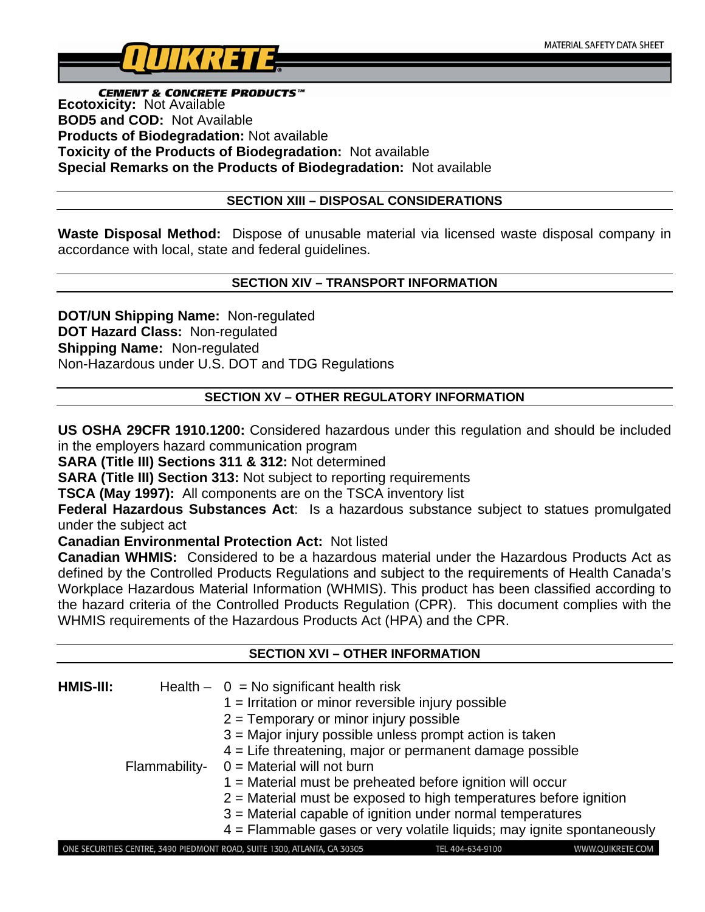

**CEMENT & CONCRETE PRODUCTS**<sup>"</sup><br>Ecotoxicity: Not Available **BOD5 and COD:** Not Available **Products of Biodegradation:** Not available **Toxicity of the Products of Biodegradation:** Not available **Special Remarks on the Products of Biodegradation:** Not available

## **SECTION XIII – DISPOSAL CONSIDERATIONS**

**Waste Disposal Method:** Dispose of unusable material via licensed waste disposal company in accordance with local, state and federal guidelines.

## **SECTION XIV – TRANSPORT INFORMATION**

**DOT/UN Shipping Name:** Non-regulated **DOT Hazard Class:** Non-regulated **Shipping Name:** Non-regulated Non-Hazardous under U.S. DOT and TDG Regulations

## **SECTION XV – OTHER REGULATORY INFORMATION**

**US OSHA 29CFR 1910.1200:** Considered hazardous under this regulation and should be included in the employers hazard communication program

**SARA (Title III) Sections 311 & 312:** Not determined

**SARA (Title III) Section 313:** Not subject to reporting requirements

**TSCA (May 1997):** All components are on the TSCA inventory list

**Federal Hazardous Substances Act**: Is a hazardous substance subject to statues promulgated under the subject act

**Canadian Environmental Protection Act:** Not listed

**Canadian WHMIS:** Considered to be a hazardous material under the Hazardous Products Act as defined by the Controlled Products Regulations and subject to the requirements of Health Canada's Workplace Hazardous Material Information (WHMIS). This product has been classified according to the hazard criteria of the Controlled Products Regulation (CPR). This document complies with the WHMIS requirements of the Hazardous Products Act (HPA) and the CPR.

**SECTION XVI – OTHER INFORMATION** 

| SECTION XVI – OTHER INFORMATION |               |                                                                                                                  |  |  |
|---------------------------------|---------------|------------------------------------------------------------------------------------------------------------------|--|--|
|                                 |               |                                                                                                                  |  |  |
| HMIS-III:                       |               | Health $- 0 = No$ significant health risk                                                                        |  |  |
|                                 |               | $1 =$ Irritation or minor reversible injury possible                                                             |  |  |
|                                 |               | $2$ = Temporary or minor injury possible                                                                         |  |  |
|                                 |               | 3 = Major injury possible unless prompt action is taken                                                          |  |  |
|                                 |               | $4$ = Life threatening, major or permanent damage possible                                                       |  |  |
|                                 | Flammability- | $0 =$ Material will not burn                                                                                     |  |  |
|                                 |               | $1$ = Material must be preheated before ignition will occur                                                      |  |  |
|                                 |               | $2$ = Material must be exposed to high temperatures before ignition                                              |  |  |
|                                 |               | $3$ = Material capable of ignition under normal temperatures                                                     |  |  |
|                                 |               | $4$ = Flammable gases or very volatile liquids; may ignite spontaneously                                         |  |  |
|                                 |               | ONE SECURITIES CENTRE, 3490 PIEDMONT ROAD, SUITE 1300, ATLANTA, GA 30305<br>WWW.QUIKRETE.COM<br>TEL 404-634-9100 |  |  |
|                                 |               |                                                                                                                  |  |  |